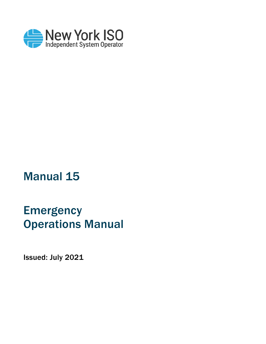

# Manual 15

## **Emergency** Operations Manual

Issued: July 2021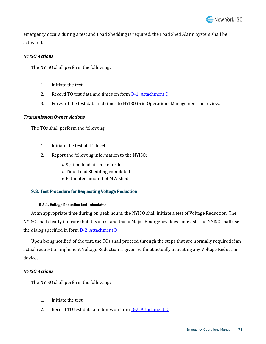

emergency occurs during a test and Load Shedding is required, the Load Shed Alarm System shall be activated.

## *NYISO Actions*

The NYISO shall perform the following:

- 1. Initiate the test.
- 2. Record TO test data and times on form [D-1, Attachment D.](#page--1-0)
- 3. Forward the test data and times to NYISO Grid Operations Management for review.

## *Transmission Owner Actions*

The TOs shall perform the following:

- 1. Initiate the test at TO level.
- 2. Report the following information to the NYISO:
	- System load at time of order
	- Time Load Shedding completed
	- Estimated amount of MW shed

## **9.3. Test Procedure for Requesting Voltage Reduction**

#### 9.3.1. Voltage Reduction test - simulated

At an appropriate time during on peak hours, the NYISO shall initiate a test of Voltage Reduction. The NYISO shall clearly indicate that it is a test and that a Major Emergency does not exist. The NYISO shall use the dialog specified in form [D-2, Attachment D.](#page--1-0) 

Upon being notified of the test, the TOs shall proceed through the steps that are normally required if an actual request to implement Voltage Reduction is given, without actually activating any Voltage Reduction devices.

## *NYISO Actions*

The NYISO shall perform the following:

- 1. Initiate the test.
- 2. Record TO test data and times on form D-2, Attachment D.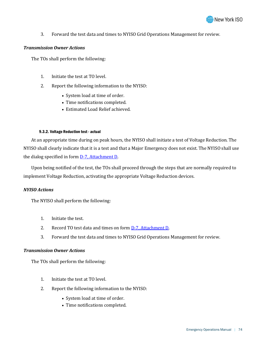

3. Forward the test data and times to NYISO Grid Operations Management for review.

#### *Transmission Owner Actions*

The TOs shall perform the following:

- 1. Initiate the test at TO level.
- 2. Report the following information to the NYISO:
	- System load at time of order.
	- Time notifications completed.
	- Estimated Load Relief achieved.

#### 9.3.2. Voltage Reduction test - actual

At an appropriate time during on peak hours, the NYISO shall initiate a test of Voltage Reduction. The NYISO shall clearly indicate that it is a test and that a Major Emergency does not exist. The NYISO shall use the dialog specified in form **D-7**, Attachment D.

Upon being notified of the test, the TOs shall proceed through the steps that are normally required to implement Voltage Reduction, activating the appropriate Voltage Reduction devices.

#### *NYISO Actions*

The NYISO shall perform the following:

- 1. Initiate the test.
- 2. Record TO test data and times on form [D-7, Attachment D.](#page--1-0)
- 3. Forward the test data and times to NYISO Grid Operations Management for review.

#### *Transmission Owner Actions*

The TOs shall perform the following:

- 1. Initiate the test at TO level.
- 2. Report the following information to the NYISO:
	- System load at time of order.
	- Time notifications completed.